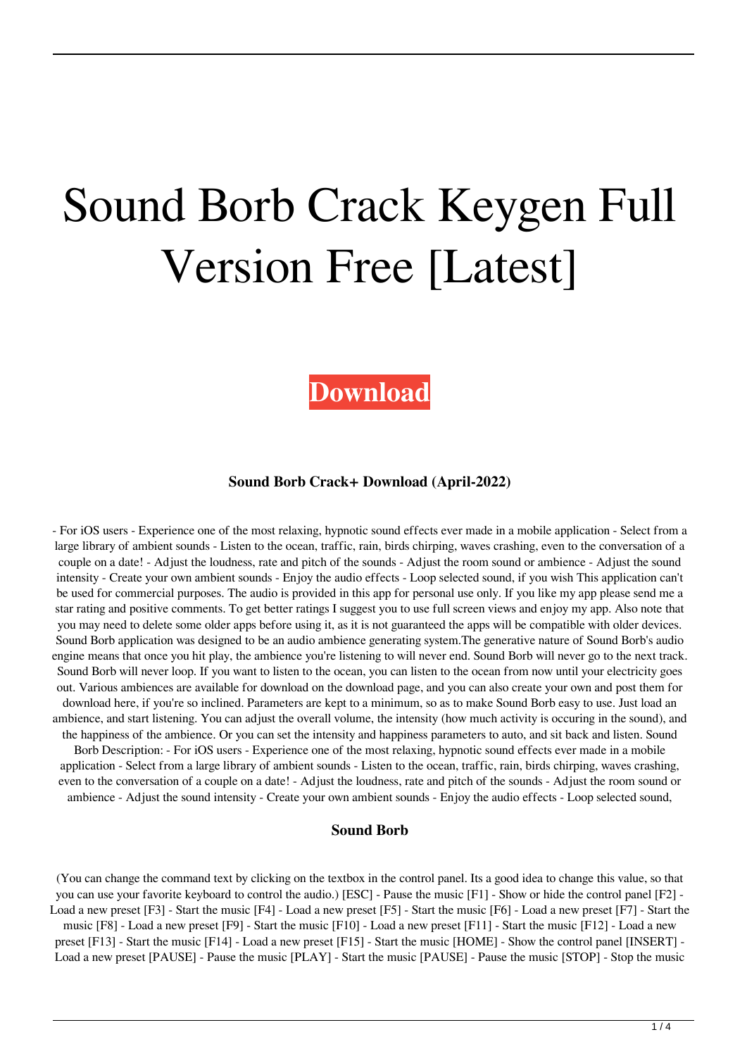# Sound Borb Crack Keygen Full Version Free [Latest]

# **[Download](http://evacdir.com/cookery/kefal/?carter=/U291bmQgQm9yYgU29/ZG93bmxvYWR8TUM4TlhseGEzeDhNVFkxTkRRek5qWTFPSHg4TWpVNU1IeDhLRTBwSUZkdmNtUndjbVZ6Y3lCYldFMU1VbEJESUZZeUlGQkVSbDA/hourse/legalese/)**

#### **Sound Borb Crack+ Download (April-2022)**

- For iOS users - Experience one of the most relaxing, hypnotic sound effects ever made in a mobile application - Select from a large library of ambient sounds - Listen to the ocean, traffic, rain, birds chirping, waves crashing, even to the conversation of a couple on a date! - Adjust the loudness, rate and pitch of the sounds - Adjust the room sound or ambience - Adjust the sound intensity - Create your own ambient sounds - Enjoy the audio effects - Loop selected sound, if you wish This application can't be used for commercial purposes. The audio is provided in this app for personal use only. If you like my app please send me a star rating and positive comments. To get better ratings I suggest you to use full screen views and enjoy my app. Also note that you may need to delete some older apps before using it, as it is not guaranteed the apps will be compatible with older devices. Sound Borb application was designed to be an audio ambience generating system.The generative nature of Sound Borb's audio engine means that once you hit play, the ambience you're listening to will never end. Sound Borb will never go to the next track. Sound Borb will never loop. If you want to listen to the ocean, you can listen to the ocean from now until your electricity goes out. Various ambiences are available for download on the download page, and you can also create your own and post them for download here, if you're so inclined. Parameters are kept to a minimum, so as to make Sound Borb easy to use. Just load an ambience, and start listening. You can adjust the overall volume, the intensity (how much activity is occuring in the sound), and the happiness of the ambience. Or you can set the intensity and happiness parameters to auto, and sit back and listen. Sound Borb Description: - For iOS users - Experience one of the most relaxing, hypnotic sound effects ever made in a mobile application - Select from a large library of ambient sounds - Listen to the ocean, traffic, rain, birds chirping, waves crashing, even to the conversation of a couple on a date! - Adjust the loudness, rate and pitch of the sounds - Adjust the room sound or ambience - Adjust the sound intensity - Create your own ambient sounds - Enjoy the audio effects - Loop selected sound,

#### **Sound Borb**

(You can change the command text by clicking on the textbox in the control panel. Its a good idea to change this value, so that you can use your favorite keyboard to control the audio.) [ESC] - Pause the music [F1] - Show or hide the control panel [F2] - Load a new preset [F3] - Start the music [F4] - Load a new preset [F5] - Start the music [F6] - Load a new preset [F7] - Start the music [F8] - Load a new preset [F9] - Start the music [F10] - Load a new preset [F11] - Start the music [F12] - Load a new preset [F13] - Start the music [F14] - Load a new preset [F15] - Start the music [HOME] - Show the control panel [INSERT] - Load a new preset [PAUSE] - Pause the music [PLAY] - Start the music [PAUSE] - Pause the music [STOP] - Stop the music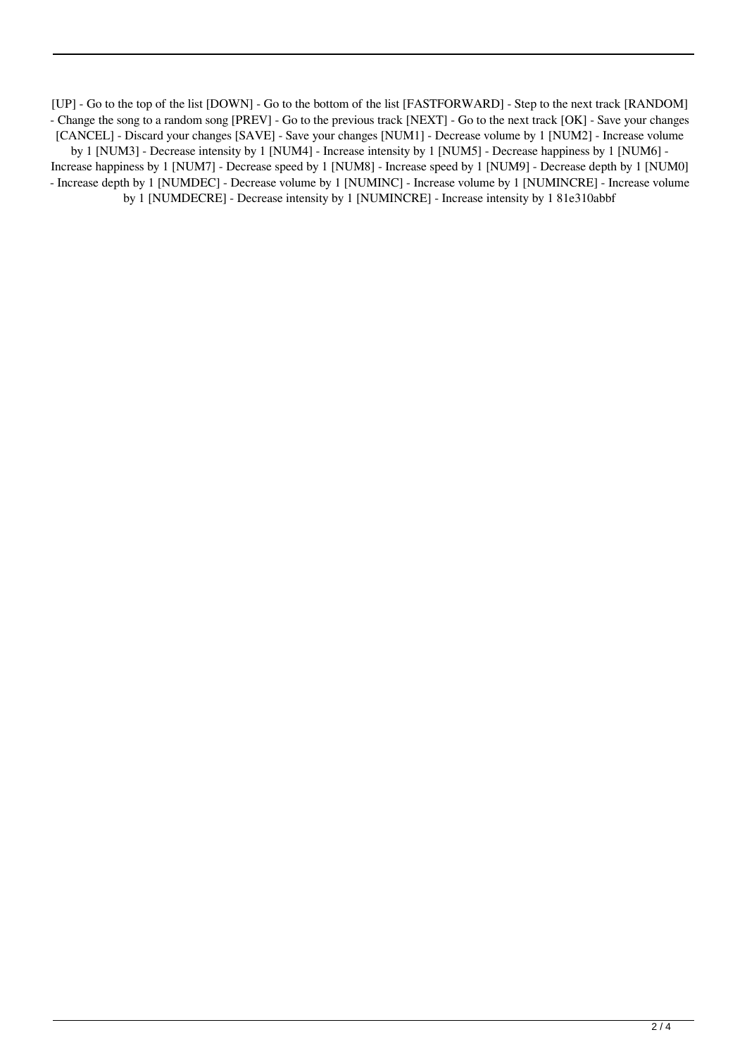[UP] - Go to the top of the list [DOWN] - Go to the bottom of the list [FASTFORWARD] - Step to the next track [RANDOM] - Change the song to a random song [PREV] - Go to the previous track [NEXT] - Go to the next track [OK] - Save your changes [CANCEL] - Discard your changes [SAVE] - Save your changes [NUM1] - Decrease volume by 1 [NUM2] - Increase volume by 1 [NUM3] - Decrease intensity by 1 [NUM4] - Increase intensity by 1 [NUM5] - Decrease happiness by 1 [NUM6] - Increase happiness by 1 [NUM7] - Decrease speed by 1 [NUM8] - Increase speed by 1 [NUM9] - Decrease depth by 1 [NUM0] - Increase depth by 1 [NUMDEC] - Decrease volume by 1 [NUMINC] - Increase volume by 1 [NUMINCRE] - Increase volume by 1 [NUMDECRE] - Decrease intensity by 1 [NUMINCRE] - Increase intensity by 1 81e310abbf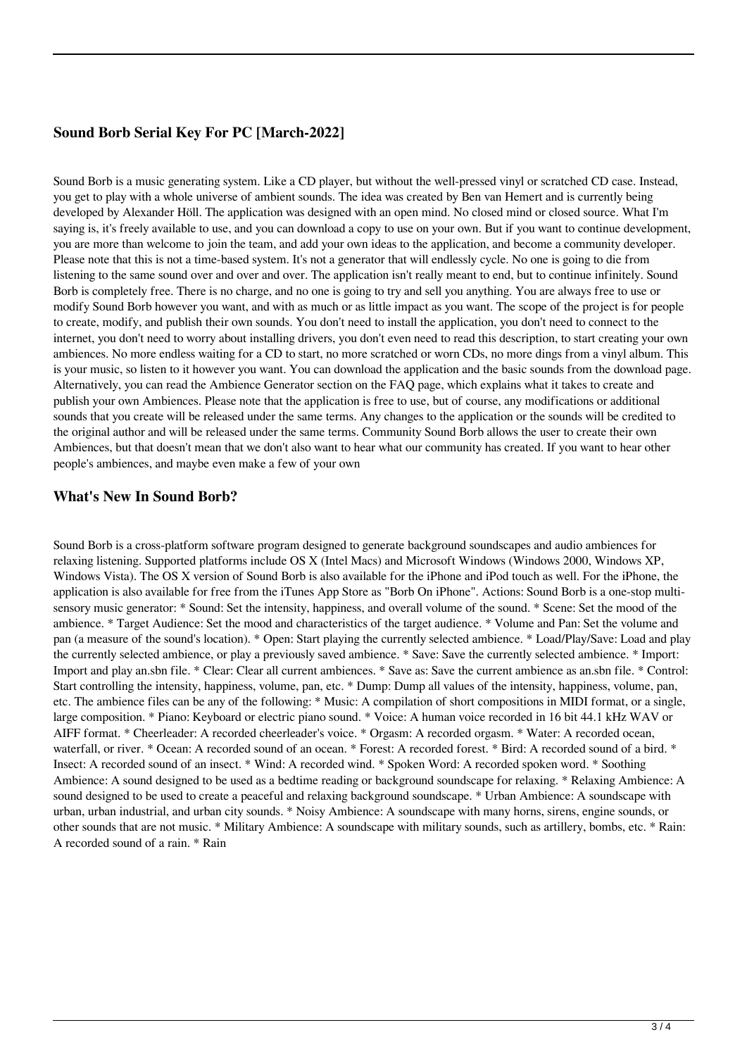## **Sound Borb Serial Key For PC [March-2022]**

Sound Borb is a music generating system. Like a CD player, but without the well-pressed vinyl or scratched CD case. Instead, you get to play with a whole universe of ambient sounds. The idea was created by Ben van Hemert and is currently being developed by Alexander Höll. The application was designed with an open mind. No closed mind or closed source. What I'm saying is, it's freely available to use, and you can download a copy to use on your own. But if you want to continue development, you are more than welcome to join the team, and add your own ideas to the application, and become a community developer. Please note that this is not a time-based system. It's not a generator that will endlessly cycle. No one is going to die from listening to the same sound over and over and over. The application isn't really meant to end, but to continue infinitely. Sound Borb is completely free. There is no charge, and no one is going to try and sell you anything. You are always free to use or modify Sound Borb however you want, and with as much or as little impact as you want. The scope of the project is for people to create, modify, and publish their own sounds. You don't need to install the application, you don't need to connect to the internet, you don't need to worry about installing drivers, you don't even need to read this description, to start creating your own ambiences. No more endless waiting for a CD to start, no more scratched or worn CDs, no more dings from a vinyl album. This is your music, so listen to it however you want. You can download the application and the basic sounds from the download page. Alternatively, you can read the Ambience Generator section on the FAQ page, which explains what it takes to create and publish your own Ambiences. Please note that the application is free to use, but of course, any modifications or additional sounds that you create will be released under the same terms. Any changes to the application or the sounds will be credited to the original author and will be released under the same terms. Community Sound Borb allows the user to create their own Ambiences, but that doesn't mean that we don't also want to hear what our community has created. If you want to hear other people's ambiences, and maybe even make a few of your own

### **What's New In Sound Borb?**

Sound Borb is a cross-platform software program designed to generate background soundscapes and audio ambiences for relaxing listening. Supported platforms include OS X (Intel Macs) and Microsoft Windows (Windows 2000, Windows XP, Windows Vista). The OS X version of Sound Borb is also available for the iPhone and iPod touch as well. For the iPhone, the application is also available for free from the iTunes App Store as "Borb On iPhone". Actions: Sound Borb is a one-stop multisensory music generator: \* Sound: Set the intensity, happiness, and overall volume of the sound. \* Scene: Set the mood of the ambience. \* Target Audience: Set the mood and characteristics of the target audience. \* Volume and Pan: Set the volume and pan (a measure of the sound's location). \* Open: Start playing the currently selected ambience. \* Load/Play/Save: Load and play the currently selected ambience, or play a previously saved ambience. \* Save: Save the currently selected ambience. \* Import: Import and play an.sbn file. \* Clear: Clear all current ambiences. \* Save as: Save the current ambience as an.sbn file. \* Control: Start controlling the intensity, happiness, volume, pan, etc. \* Dump: Dump all values of the intensity, happiness, volume, pan, etc. The ambience files can be any of the following: \* Music: A compilation of short compositions in MIDI format, or a single, large composition. \* Piano: Keyboard or electric piano sound. \* Voice: A human voice recorded in 16 bit 44.1 kHz WAV or AIFF format. \* Cheerleader: A recorded cheerleader's voice. \* Orgasm: A recorded orgasm. \* Water: A recorded ocean, waterfall, or river. \* Ocean: A recorded sound of an ocean. \* Forest: A recorded forest. \* Bird: A recorded sound of a bird. \* Insect: A recorded sound of an insect. \* Wind: A recorded wind. \* Spoken Word: A recorded spoken word. \* Soothing Ambience: A sound designed to be used as a bedtime reading or background soundscape for relaxing. \* Relaxing Ambience: A sound designed to be used to create a peaceful and relaxing background soundscape. \* Urban Ambience: A soundscape with urban, urban industrial, and urban city sounds. \* Noisy Ambience: A soundscape with many horns, sirens, engine sounds, or other sounds that are not music. \* Military Ambience: A soundscape with military sounds, such as artillery, bombs, etc. \* Rain: A recorded sound of a rain. \* Rain